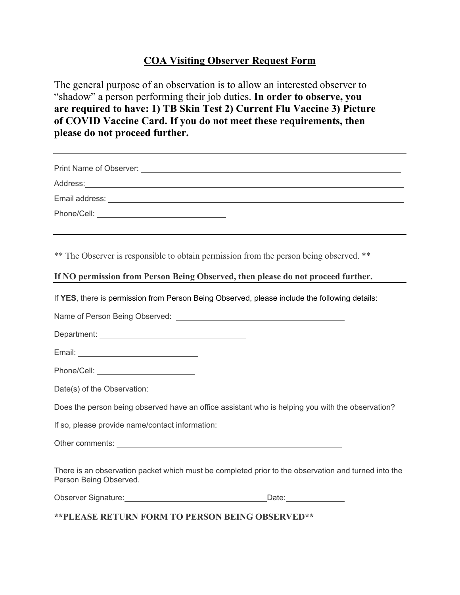### **COA Visiting Observer Request Form**

The general purpose of an observation is to allow an interested observer to "shadow" a person performing their job duties. **In order to observe, you are required to have: 1) TB Skin Test 2) Current Flu Vaccine 3) Picture of COVID Vaccine Card. If you do not meet these requirements, then please do not proceed further.** 

| Phone/Cell: _________________________________ |  |
|-----------------------------------------------|--|
|                                               |  |

\*\* The Observer is responsible to obtain permission from the person being observed. \*\*

### **If NO permission from Person Being Observed, then please do not proceed further.**

If **YES**, there is permission from Person Being Observed, please include the following details:

Name of Person Being Observed:

Department: University of the Contract of the Contract of the Contract of the Contract of the Contract of the Contract of the Contract of the Contract of the Contract of the Contract of the Contract of the Contract of the

Email:

| Phone/Cell: |  |  |
|-------------|--|--|
|             |  |  |

|  | Date(s) of the Observation: |  |
|--|-----------------------------|--|
|  |                             |  |

Does the person being observed have an office assistant who is helping you with the observation?

If so, please provide name/contact information: \_\_\_\_\_\_\_\_\_\_\_\_\_\_\_\_\_\_\_\_\_\_\_\_\_\_\_\_\_\_\_\_

Other comments:  $\blacksquare$ 

There is an observation packet which must be completed prior to the observation and turned into the Person Being Observed.

Observer Signature: Note and the United States of Date:

**\*\*PLEASE RETURN FORM TO PERSON BEING OBSERVED\*\***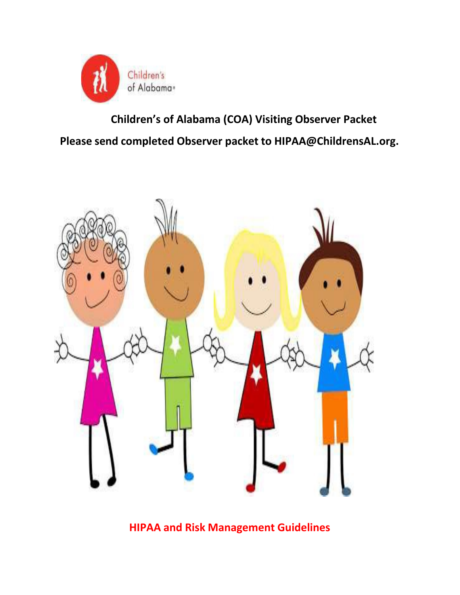

**Children's of Alabama (COA) Visiting Observer Packet Please send completed Observer packet to HIPAA@ChildrensAL.org.**



**HIPAA and Risk Management Guidelines**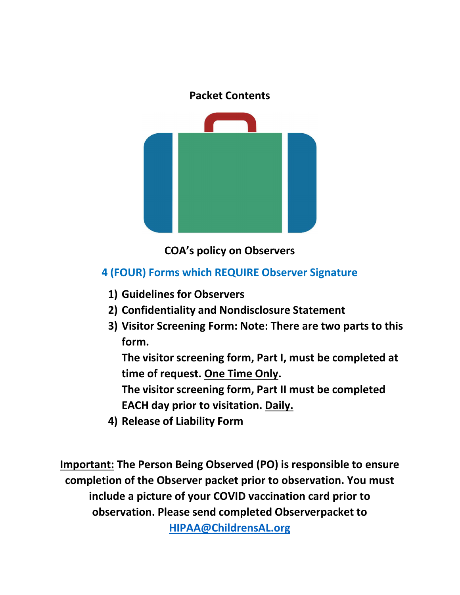

**COA's policy on Observers**

## **4 (FOUR) Forms which REQUIRE Observer Signature**

- **1) Guidelines for Observers**
- **2) Confidentiality and Nondisclosure Statement**
- **3) Visitor Screening Form: Note: There are two parts to this form.**

**The visitor screening form, Part I, must be completed at time of request. One Time Only.**

**The visitor screening form, Part II must be completed EACH day prior to visitation. Daily.**

**4) Release of Liability Form**

**Important: The Person Being Observed (PO) is responsible to ensure completion of the Observer packet prior to observation. You must include a picture of your COVID vaccination card prior to observation. Please send completed Observerpacket to**

**HIPAA@ChildrensAL.org**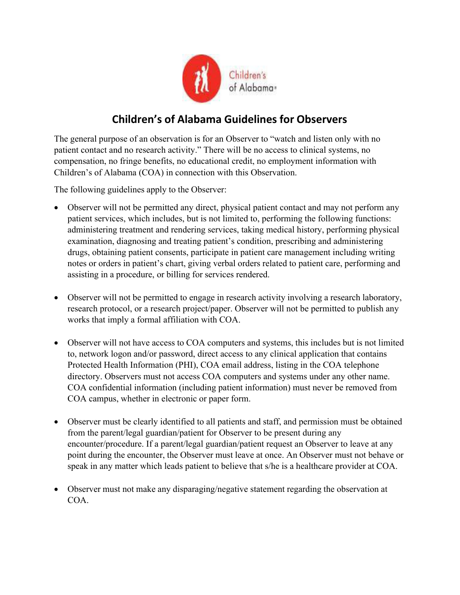

## **Children's of Alabama Guidelines for Observers**

The general purpose of an observation is for an Observer to "watch and listen only with no patient contact and no research activity." There will be no access to clinical systems, no compensation, no fringe benefits, no educational credit, no employment information with Children's of Alabama (COA) in connection with this Observation.

The following guidelines apply to the Observer:

- Observer will not be permitted any direct, physical patient contact and may not perform any patient services, which includes, but is not limited to, performing the following functions: administering treatment and rendering services, taking medical history, performing physical examination, diagnosing and treating patient's condition, prescribing and administering drugs, obtaining patient consents, participate in patient care management including writing notes or orders in patient's chart, giving verbal orders related to patient care, performing and assisting in a procedure, or billing for services rendered.
- Observer will not be permitted to engage in research activity involving a research laboratory, research protocol, or a research project/paper. Observer will not be permitted to publish any works that imply a formal affiliation with COA.
- Observer will not have access to COA computers and systems, this includes but is not limited to, network logon and/or password, direct access to any clinical application that contains Protected Health Information (PHI), COA email address, listing in the COA telephone directory. Observers must not access COA computers and systems under any other name. COA confidential information (including patient information) must never be removed from COA campus, whether in electronic or paper form.
- Observer must be clearly identified to all patients and staff, and permission must be obtained from the parent/legal guardian/patient for Observer to be present during any encounter/procedure. If a parent/legal guardian/patient request an Observer to leave at any point during the encounter, the Observer must leave at once. An Observer must not behave or speak in any matter which leads patient to believe that s/he is a healthcare provider at COA.
- Observer must not make any disparaging/negative statement regarding the observation at COA.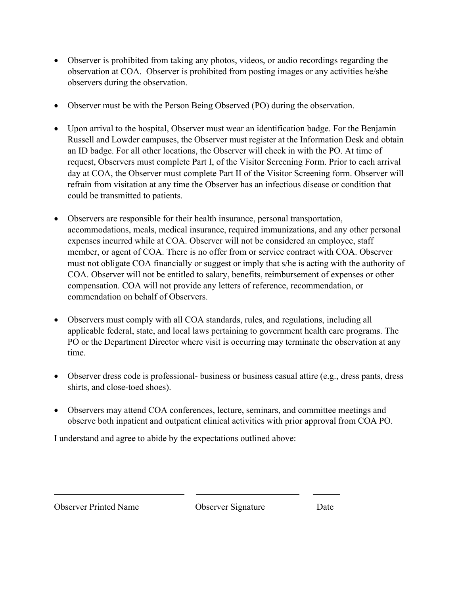- Observer is prohibited from taking any photos, videos, or audio recordings regarding the observation at COA. Observer is prohibited from posting images or any activities he/she observers during the observation.
- Observer must be with the Person Being Observed (PO) during the observation.
- Upon arrival to the hospital, Observer must wear an identification badge. For the Benjamin Russell and Lowder campuses, the Observer must register at the Information Desk and obtain an ID badge. For all other locations, the Observer will check in with the PO. At time of request, Observers must complete Part I, of the Visitor Screening Form. Prior to each arrival day at COA, the Observer must complete Part II of the Visitor Screening form. Observer will refrain from visitation at any time the Observer has an infectious disease or condition that could be transmitted to patients.
- Observers are responsible for their health insurance, personal transportation, accommodations, meals, medical insurance, required immunizations, and any other personal expenses incurred while at COA. Observer will not be considered an employee, staff member, or agent of COA. There is no offer from or service contract with COA. Observer must not obligate COA financially or suggest or imply that s/he is acting with the authority of COA. Observer will not be entitled to salary, benefits, reimbursement of expenses or other compensation. COA will not provide any letters of reference, recommendation, or commendation on behalf of Observers.
- Observers must comply with all COA standards, rules, and regulations, including all applicable federal, state, and local laws pertaining to government health care programs. The PO or the Department Director where visit is occurring may terminate the observation at any time.
- Observer dress code is professional- business or business casual attire (e.g., dress pants, dress shirts, and close-toed shoes).
- Observers may attend COA conferences, lecture, seminars, and committee meetings and observe both inpatient and outpatient clinical activities with prior approval from COA PO.

I understand and agree to abide by the expectations outlined above:

Observer Printed Name Observer Signature Date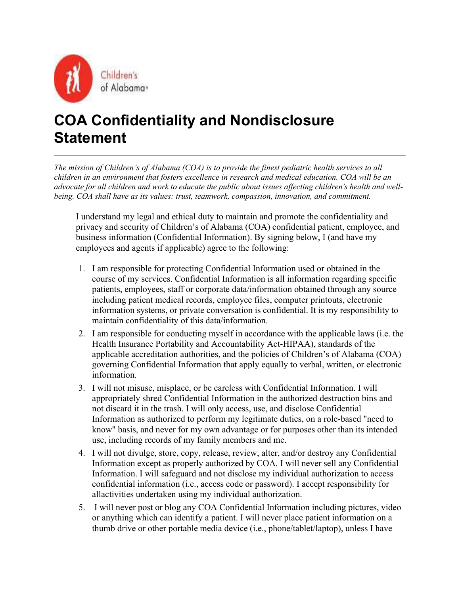

# **COA Confidentiality and Nondisclosure Statement**

*The mission of Children's of Alabama (COA) is to provide the finest pediatric health services to all children in an environment that fosters excellence in research and medical education. COA will be an advocate for all children and work to educate the public about issues affecting children's health and wellbeing. COA shall have as its values: trust, teamwork, compassion, innovation, and commitment.* 

I understand my legal and ethical duty to maintain and promote the confidentiality and privacy and security of Children's of Alabama (COA) confidential patient, employee, and business information (Confidential Information). By signing below, I (and have my employees and agents if applicable) agree to the following:

- 1. I am responsible for protecting Confidential Information used or obtained in the course of my services. Confidential Information is all information regarding specific patients, employees, staff or corporate data/information obtained through any source including patient medical records, employee files, computer printouts, electronic information systems, or private conversation is confidential. It is my responsibility to maintain confidentiality of this data/information.
- 2. I am responsible for conducting myself in accordance with the applicable laws (i.e. the Health Insurance Portability and Accountability Act-HIPAA), standards of the applicable accreditation authorities, and the policies of Children's of Alabama (COA) governing Confidential Information that apply equally to verbal, written, or electronic information.
- 3. I will not misuse, misplace, or be careless with Confidential Information. I will appropriately shred Confidential Information in the authorized destruction bins and not discard it in the trash. I will only access, use, and disclose Confidential Information as authorized to perform my legitimate duties, on a role-based "need to know" basis, and never for my own advantage or for purposes other than its intended use, including records of my family members and me.
- 4. I will not divulge, store, copy, release, review, alter, and/or destroy any Confidential Information except as properly authorized by COA. I will never sell any Confidential Information. I will safeguard and not disclose my individual authorization to access confidential information (i.e., access code or password). I accept responsibility for all activities undertaken using my individual authorization.
- 5. I will never post or blog any COA Confidential Information including pictures, video or anything which can identify a patient. I will never place patient information on a thumb drive or other portable media device (i.e., phone/tablet/laptop), unless I have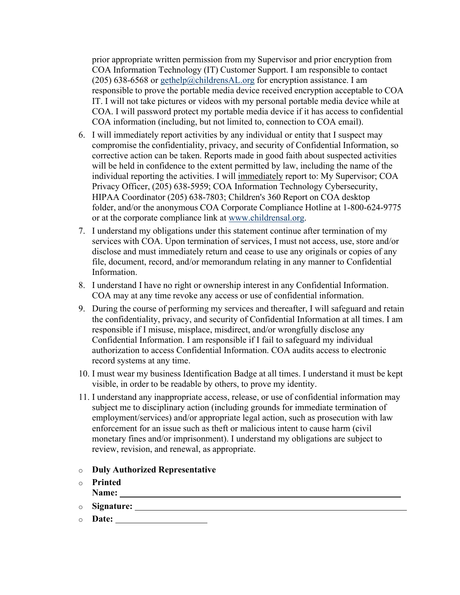prior appropriate written permission from my Supervisor and prior encryption from COA Information Technology (IT) Customer Support. I am responsible to contact (205) 638-6568 or gethelp@childrensAL.org for encryption assistance. I am responsible to prove the portable media device received encryption acceptable to COA IT. I will not take pictures or videos with my personal portable media device while at COA. I will password protect my portable media device if it has access to confidential COA information (including, but not limited to, connection to COA email).

- 6. I will immediately report activities by any individual or entity that I suspect may compromise the confidentiality, privacy, and security of Confidential Information, so corrective action can be taken. Reports made in good faith about suspected activities will be held in confidence to the extent permitted by law, including the name of the individual reporting the activities. I will immediately report to: My Supervisor; COA Privacy Officer, (205) 638-5959; COA Information Technology Cybersecurity, HIPAA Coordinator (205) 638-7803; Children's 360 Report on COA desktop folder, and/or the anonymous COA Corporate Compliance Hotline at 1-800-624-9775 or at the corporate compliance link at www.childrensal.org.
- 7. I understand my obligations under this statement continue after termination of my services with COA. Upon termination of services, I must not access, use, store and/or disclose and must immediately return and cease to use any originals or copies of any file, document, record, and/or memorandum relating in any manner to Confidential Information.
- 8. I understand I have no right or ownership interest in any Confidential Information. COA may at any time revoke any access or use of confidential information.
- 9. During the course of performing my services and thereafter, I will safeguard and retain the confidentiality, privacy, and security of Confidential Information at all times. I am responsible if I misuse, misplace, misdirect, and/or wrongfully disclose any Confidential Information. I am responsible if I fail to safeguard my individual authorization to access Confidential Information. COA audits access to electronic record systems at any time.
- 10. I must wear my business Identification Badge at all times. I understand it must be kept visible, in order to be readable by others, to prove my identity.
- 11. I understand any inappropriate access, release, or use of confidential information may subject me to disciplinary action (including grounds for immediate termination of employment/services) and/or appropriate legal action, such as prosecution with law enforcement for an issue such as theft or malicious intent to cause harm (civil monetary fines and/or imprisonment). I understand my obligations are subject to review, revision, and renewal, as appropriate.
- o **Duly Authorized Representative**
- o **Printed Name:**
- o **Signature:**
- o **Date:**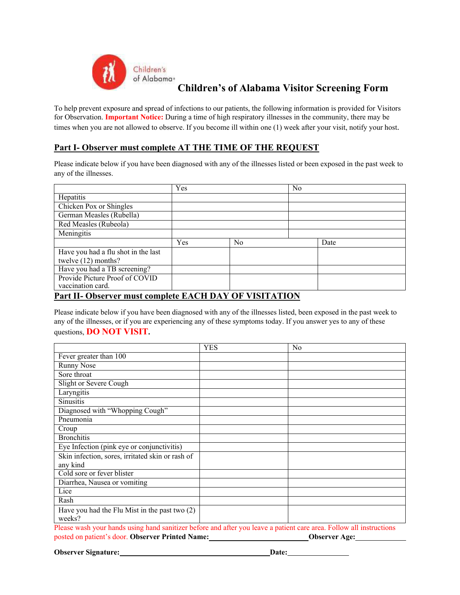

**Children's of Alabama Visitor Screening Form** 

To help prevent exposure and spread of infections to our patients, the following information is provided for Visitors for Observation. **Important Notice:** During a time of high respiratory illnesses in the community, there may be times when you are not allowed to observe. If you become ill within one (1) week after your visit, notify your host.

### **Part I- Observer must complete AT THE TIME OF THE REQUEST**

Please indicate below if you have been diagnosed with any of the illnesses listed or been exposed in the past week to any of the illnesses.

|                                                             | Yes |                              | N <sub>0</sub> |  |
|-------------------------------------------------------------|-----|------------------------------|----------------|--|
| Hepatitis                                                   |     |                              |                |  |
| Chicken Pox or Shingles                                     |     |                              |                |  |
| German Measles (Rubella)                                    |     |                              |                |  |
| Red Measles (Rubeola)                                       |     |                              |                |  |
| Meningitis                                                  |     |                              |                |  |
|                                                             | Yes | N <sub>o</sub>               | Date           |  |
| Have you had a flu shot in the last                         |     |                              |                |  |
| twelve (12) months?                                         |     |                              |                |  |
| Have you had a TB screening?                                |     |                              |                |  |
| Provide Picture Proof of COVID                              |     |                              |                |  |
| vaccination card.<br>$\mathbf{L}$ $\mathbf{L}$ $\mathbf{L}$ |     | <b>ELOILD IV ORIGINILEIO</b> |                |  |

#### **Part II- Observer must complete EACH DAY OF VISITATION**

Please indicate below if you have been diagnosed with any of the illnesses listed, been exposed in the past week to any of the illnesses, or if you are experiencing any of these symptoms today. If you answer yes to any of these questions, **DO NOT VISIT.** 

|                                                                                                                     | <b>YES</b> | N <sub>0</sub> |  |  |
|---------------------------------------------------------------------------------------------------------------------|------------|----------------|--|--|
| Fever greater than 100                                                                                              |            |                |  |  |
| <b>Runny Nose</b>                                                                                                   |            |                |  |  |
| Sore throat                                                                                                         |            |                |  |  |
| Slight or Severe Cough                                                                                              |            |                |  |  |
| Laryngitis                                                                                                          |            |                |  |  |
| <b>Sinusitis</b>                                                                                                    |            |                |  |  |
| Diagnosed with "Whopping Cough"                                                                                     |            |                |  |  |
| Pneumonia                                                                                                           |            |                |  |  |
| Croup                                                                                                               |            |                |  |  |
| <b>Bronchitis</b>                                                                                                   |            |                |  |  |
| Eye Infection (pink eye or conjunctivitis)                                                                          |            |                |  |  |
| Skin infection, sores, irritated skin or rash of                                                                    |            |                |  |  |
| any kind                                                                                                            |            |                |  |  |
| Cold sore or fever blister                                                                                          |            |                |  |  |
| Diarrhea, Nausea or vomiting                                                                                        |            |                |  |  |
| Lice                                                                                                                |            |                |  |  |
| Rash                                                                                                                |            |                |  |  |
| Have you had the Flu Mist in the past two $(2)$                                                                     |            |                |  |  |
| weeks?                                                                                                              |            |                |  |  |
| Please wash your hands using hand sanitizer before and after you leave a patient care area. Follow all instructions |            |                |  |  |

posted on patient's door. **Observer Printed Name: Observer Age:**

**Observer Signature:** Date: